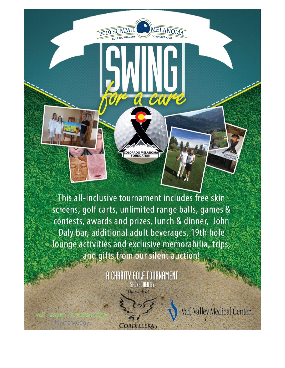This all-inclusive tournament includes free skin screens, golf carts, unlimited range balls, games & contests, awards and prizes, lunch & dinner, John Daly bar, additional adult beverages, 19th hole lounge activities and exclusive memorabilia, trips, and gifts from our silent auction!

**MELANOM** 

cure

 $\boldsymbol{\mathcal{U}}$ 

**RADO MELAN<br>FOUNDATION** 

2019 SUMMIT

**A CHARITY GOLF TOURNAMENT SPONSORED BY** The Club at

**CORDILLERA** 

lermatology

Vail Valley Medical Center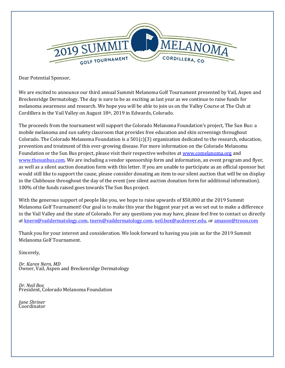

Dear Potential Sponsor,

We are excited to announce our third annual Summit Melanoma Golf Tournament presented by Vail, Aspen and Breckenridge Dermatology. The day is sure to be as exciting as last year as we continue to raise funds for melanoma awareness and research. We hope you will be able to join us on the Valley Course at The Club at Cordillera in the Vail Valley on August 18th, 2019 in Edwards, Colorado.

The proceeds from the tournament will support the Colorado Melanoma Foundation's project, The Sun Bus: a mobile melanoma and sun safety classroom that provides free education and skin screenings throughout Colorado. The Colorado Melanoma Foundation is a  $501(c)(3)$  organization dedicated to the research, education, prevention and treatment of this ever-growing disease. For more information on the Colorado Melanoma Foundation or the Sun Bus project, please visit their respective websites at [www.comelanoma.org](http://www.comelanoma.org/) and [www.thesunbus.com.](http://www.thesunbus.com/) We are including a vendor sponsorship form and information, an event program and flyer, as well as a silent auction donation form with this letter. If you are unable to participate as an official sponsor but would still like to support the cause, please consider donating an item to our silent auction that will be on display in the Clubhouse throughout the day of the event (see silent auction donation form for additional information). 100% of the funds raised goes towards The Sun Bus project.

With the generous support of people like you, we hope to raise upwards of \$50,000 at the 2019 Summit Melanoma Golf Tournament! Our goal is to make this year the biggest year yet as we set out to make a difference in the Vail Valley and the state of Colorado. For any questions you may have, please feel free to contact us directly at [knern@vaildermatology.com,](mailto:knern@vaildermatology.com) [tnern@vaildermatology.com,](mailto:tnern@vaildermatology.com) [neil.box@ucdenver.edu,](mailto:neil.box@ucdenver.edu) or [amason@troon.com](mailto:amason@troon.com)

Thank you for your interest and consideration. We look forward to having you join us for the 2019 Summit Melanoma Golf Tournament.

Sincerely,

*Dr. Karen Nern, MD*  Owner, Vail, Aspen and Breckenridge Dermatology

*Dr. Neil Box* President, Colorado Melanoma Foundation

*Jane Shriner* Coordinator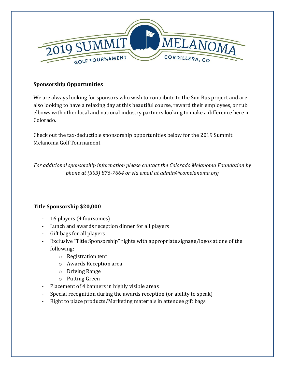

### **Sponsorship Opportunities**

We are always looking for sponsors who wish to contribute to the Sun Bus project and are also looking to have a relaxing day at this beautiful course, reward their employees, or rub elbows with other local and national industry partners looking to make a difference here in Colorado.

Check out the tax-deductible sponsorship opportunities below for the 2019 Summit Melanoma Golf Tournament

*For additional sponsorship information please contact the Colorado Melanoma Foundation by phone at (303) 876-7664 or via email at admin@comelanoma.org*

# **Title Sponsorship \$20,000**

- 16 players (4 foursomes)
- Lunch and awards reception dinner for all players
- Gift bags for all players
- Exclusive "Title Sponsorship" rights with appropriate signage/logos at one of the following:
	- o Registration tent
	- o Awards Reception area
	- o Driving Range
	- o Putting Green
- Placement of 4 banners in highly visible areas
- Special recognition during the awards reception (or ability to speak)
- Right to place products/Marketing materials in attendee gift bags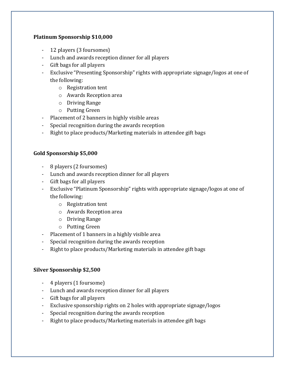### **Platinum Sponsorship \$10,000**

- 12 players (3 foursomes)
- Lunch and awards reception dinner for all players
- Gift bags for all players
- Exclusive "Presenting Sponsorship" rights with appropriate signage/logos at one of the following:
	- o Registration tent
	- o Awards Reception area
	- o Driving Range
	- o Putting Green
- Placement of 2 banners in highly visible areas
- Special recognition during the awards reception
- Right to place products/Marketing materials in attendee gift bags

### **Gold Sponsorship \$5,000**

- 8 players (2 foursomes)
- Lunch and awards reception dinner for all players
- Gift bags for all players
- Exclusive "Platinum Sponsorship" rights with appropriate signage/logos at one of the following:
	- o Registration tent
	- o Awards Reception area
	- o Driving Range
	- o Putting Green
- Placement of 1 banners in a highly visible area
- Special recognition during the awards reception
- Right to place products/Marketing materials in attendee gift bags

### **Silver Sponsorship \$2,500**

- 4 players (1 foursome)
- Lunch and awards reception dinner for all players
- Gift bags for all players
- Exclusive sponsorship rights on 2 holes with appropriate signage/logos
- Special recognition during the awards reception
- Right to place products/Marketing materials in attendee gift bags